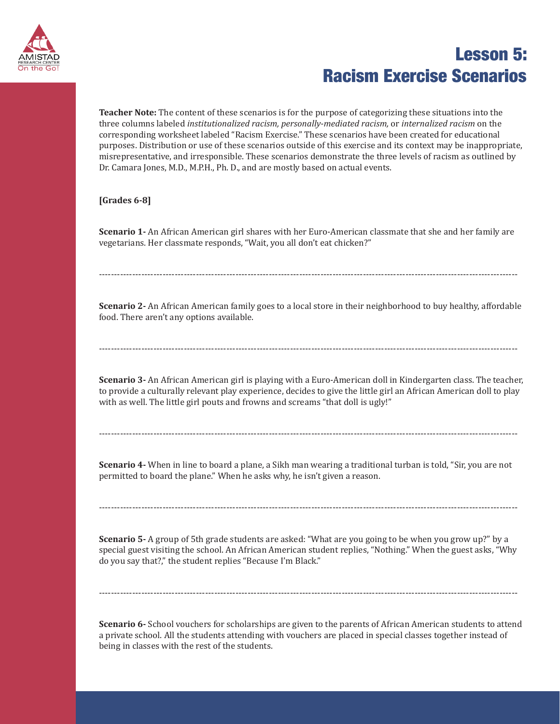

**Teacher Note:** The content of these scenarios is for the purpose of categorizing these situations into the three columns labeled *institutionalized racism, personally-mediated racism,* or *internalized racism* on the corresponding worksheet labeled "Racism Exercise." These scenarios have been created for educational purposes. Distribution or use of these scenarios outside of this exercise and its context may be inappropriate, misrepresentative, and irresponsible. These scenarios demonstrate the three levels of racism as outlined by Dr. Camara Jones, M.D., M.P.H., Ph. D., and are mostly based on actual events.

#### **[Grades 6-8]**

**Scenario 1-** An African American girl shares with her Euro-American classmate that she and her family are vegetarians. Her classmate responds, "Wait, you all don't eat chicken?"

------------------------------------------------------------------------------------------------------------------------------------------

**Scenario 2-** An African American family goes to a local store in their neighborhood to buy healthy, affordable food. There aren't any options available.

------------------------------------------------------------------------------------------------------------------------------------------

**Scenario 3-** An African American girl is playing with a Euro-American doll in Kindergarten class. The teacher, to provide a culturally relevant play experience, decides to give the little girl an African American doll to play with as well. The little girl pouts and frowns and screams "that doll is ugly!"

**Scenario 4-** When in line to board a plane, a Sikh man wearing a traditional turban is told, "Sir, you are not permitted to board the plane." When he asks why, he isn't given a reason.

------------------------------------------------------------------------------------------------------------------------------------------

**Scenario 5-** A group of 5th grade students are asked: "What are you going to be when you grow up?" by a special guest visiting the school. An African American student replies, "Nothing." When the guest asks, "Why do you say that?," the student replies "Because I'm Black."

------------------------------------------------------------------------------------------------------------------------------------------

**Scenario 6-** School vouchers for scholarships are given to the parents of African American students to attend a private school. All the students attending with vouchers are placed in special classes together instead of being in classes with the rest of the students.

------------------------------------------------------------------------------------------------------------------------------------------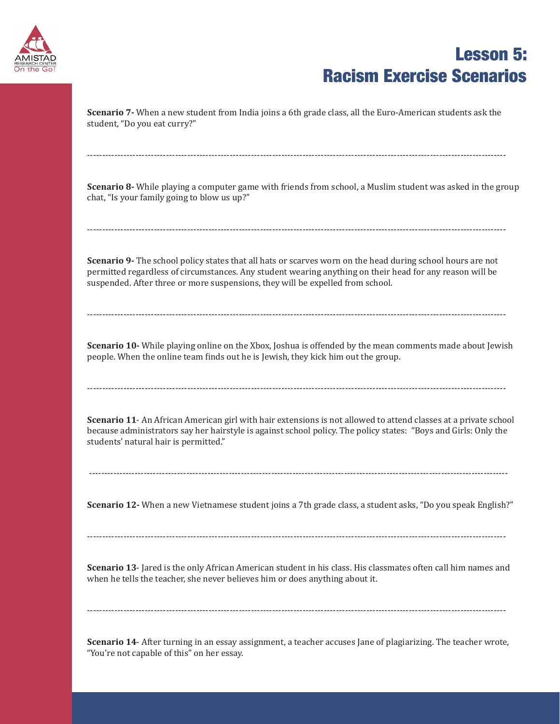

**Scenario 7-** When a new student from India joins a 6th grade class, all the Euro-American students ask the student, "Do you eat curry?"

------------------------------------------------------------------------------------------------------------------------------------------

**Scenario 8-** While playing a computer game with friends from school, a Muslim student was asked in the group chat, "Is your family going to blow us up?"

------------------------------------------------------------------------------------------------------------------------------------------

**Scenario 9-** The school policy states that all hats or scarves worn on the head during school hours are not permitted regardless of circumstances. Any student wearing anything on their head for any reason will be suspended. After three or more suspensions, they will be expelled from school.

**Scenario 10-** While playing online on the Xbox, Joshua is offended by the mean comments made about Jewish people. When the online team finds out he is Jewish, they kick him out the group.

------------------------------------------------------------------------------------------------------------------------------------------

------------------------------------------------------------------------------------------------------------------------------------------

**Scenario 11**- An African American girl with hair extensions is not allowed to attend classes at a private school because administrators say her hairstyle is against school policy. The policy states: "Boys and Girls: Only the students' natural hair is permitted."

------------------------------------------------------------------------------------------------------------------------------------------

**Scenario 12-** When a new Vietnamese student joins a 7th grade class, a student asks, "Do you speak English?"

------------------------------------------------------------------------------------------------------------------------------------------

**Scenario 13**- Jared is the only African American student in his class. His classmates often call him names and when he tells the teacher, she never believes him or does anything about it.

------------------------------------------------------------------------------------------------------------------------------------------

**Scenario 14**- After turning in an essay assignment, a teacher accuses Jane of plagiarizing. The teacher wrote, "You're not capable of this" on her essay.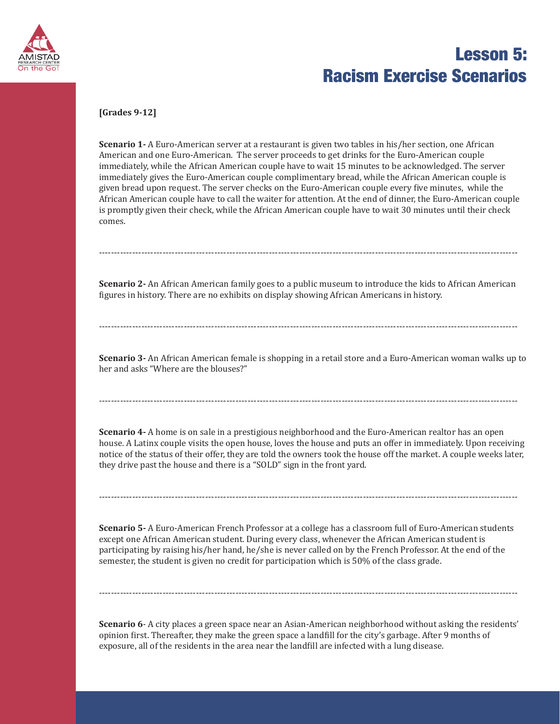

#### **[Grades 9-12]**

**Scenario 1-** A Euro-American server at a restaurant is given two tables in his/her section, one African American and one Euro-American. The server proceeds to get drinks for the Euro-American couple immediately, while the African American couple have to wait 15 minutes to be acknowledged. The server immediately gives the Euro-American couple complimentary bread, while the African American couple is given bread upon request. The server checks on the Euro-American couple every five minutes, while the African American couple have to call the waiter for attention. At the end of dinner, the Euro-American couple is promptly given their check, while the African American couple have to wait 30 minutes until their check comes.

**Scenario 2-** An African American family goes to a public museum to introduce the kids to African American figures in history. There are no exhibits on display showing African Americans in history.

------------------------------------------------------------------------------------------------------------------------------------------

------------------------------------------------------------------------------------------------------------------------------------------

**Scenario 3-** An African American female is shopping in a retail store and a Euro-American woman walks up to her and asks "Where are the blouses?"

------------------------------------------------------------------------------------------------------------------------------------------

**Scenario 4-** A home is on sale in a prestigious neighborhood and the Euro-American realtor has an open house. A Latinx couple visits the open house, loves the house and puts an offer in immediately. Upon receiving notice of the status of their offer, they are told the owners took the house off the market. A couple weeks later, they drive past the house and there is a "SOLD" sign in the front yard.

------------------------------------------------------------------------------------------------------------------------------------------

**Scenario 5-** A Euro-American French Professor at a college has a classroom full of Euro-American students except one African American student. During every class, whenever the African American student is participating by raising his/her hand, he/she is never called on by the French Professor. At the end of the semester, the student is given no credit for participation which is 50% of the class grade.

**Scenario 6**- A city places a green space near an Asian-American neighborhood without asking the residents' opinion first. Thereafter, they make the green space a landfill for the city's garbage. After 9 months of exposure, all of the residents in the area near the landfill are infected with a lung disease.

------------------------------------------------------------------------------------------------------------------------------------------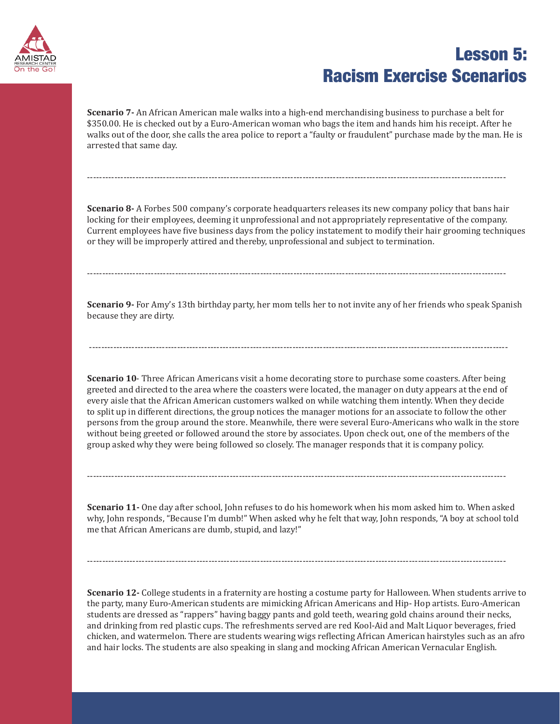

**Scenario 7-** An African American male walks into a high-end merchandising business to purchase a belt for \$350.00. He is checked out by a Euro-American woman who bags the item and hands him his receipt. After he walks out of the door, she calls the area police to report a "faulty or fraudulent" purchase made by the man. He is arrested that same day.

------------------------------------------------------------------------------------------------------------------------------------------

**Scenario 8-** A Forbes 500 company's corporate headquarters releases its new company policy that bans hair locking for their employees, deeming it unprofessional and not appropriately representative of the company. Current employees have five business days from the policy instatement to modify their hair grooming techniques or they will be improperly attired and thereby, unprofessional and subject to termination.

**Scenario 9-** For Amy's 13th birthday party, her mom tells her to not invite any of her friends who speak Spanish because they are dirty.

------------------------------------------------------------------------------------------------------------------------------------------

------------------------------------------------------------------------------------------------------------------------------------------

**Scenario 10**- Three African Americans visit a home decorating store to purchase some coasters. After being greeted and directed to the area where the coasters were located, the manager on duty appears at the end of every aisle that the African American customers walked on while watching them intently. When they decide to split up in different directions, the group notices the manager motions for an associate to follow the other persons from the group around the store. Meanwhile, there were several Euro-Americans who walk in the store without being greeted or followed around the store by associates. Upon check out, one of the members of the group asked why they were being followed so closely. The manager responds that it is company policy.

**Scenario 11-** One day after school, John refuses to do his homework when his mom asked him to. When asked why, John responds, "Because I'm dumb!" When asked why he felt that way, John responds, "A boy at school told me that African Americans are dumb, stupid, and lazy!"

------------------------------------------------------------------------------------------------------------------------------------------

------------------------------------------------------------------------------------------------------------------------------------------

**Scenario 12-** College students in a fraternity are hosting a costume party for Halloween. When students arrive to the party, many Euro-American students are mimicking African Americans and Hip- Hop artists. Euro-American students are dressed as "rappers" having baggy pants and gold teeth, wearing gold chains around their necks, and drinking from red plastic cups. The refreshments served are red Kool-Aid and Malt Liquor beverages, fried chicken, and watermelon. There are students wearing wigs reflecting African American hairstyles such as an afro and hair locks. The students are also speaking in slang and mocking African American Vernacular English.